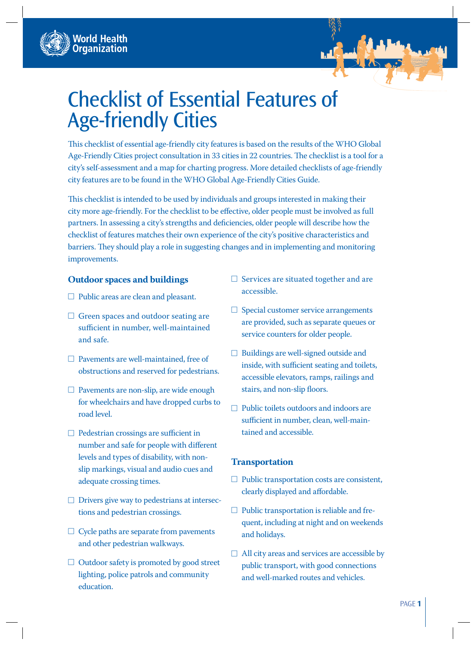



This checklist of essential age-friendly city features is based on the results of the WHO Global Age-Friendly Cities project consultation in 33 cities in 22 countries. The checklist is a tool for a city's self-assessment and a map for charting progress. More detailed checklists of age-friendly city features are to be found in the WHO Global Age-Friendly Cities Guide.

This checklist is intended to be used by individuals and groups interested in making their city more age-friendly. For the checklist to be effective, older people must be involved as full partners. In assessing a city's strengths and deficiencies, older people will describe how the checklist of features matches their own experience of the city's positive characteristics and barriers. They should play a role in suggesting changes and in implementing and monitoring improvements.

#### **Outdoor spaces and buildings**

- □ Public areas are clean and pleasant.
- $\Box$  Green spaces and outdoor seating are sufficient in number, well-maintained and safe.
- □ Pavements are well-maintained, free of obstructions and reserved for pedestrians.
- □ Pavements are non-slip, are wide enough for wheelchairs and have dropped curbs to road level.
- $\Box$  Pedestrian crossings are sufficient in number and safe for people with different levels and types of disability, with nonslip markings, visual and audio cues and adequate crossing times.
- $\Box$  Drivers give way to pedestrians at intersections and pedestrian crossings.
- $\Box$  Cycle paths are separate from pavements and other pedestrian walkways.
- □ Outdoor safety is promoted by good street lighting, police patrols and community education.
- □ Services are situated together and are accessible.
- $\Box$  Special customer service arrangements are provided, such as separate queues or service counters for older people.
- ☐ Buildings are well-signed outside and inside, with sufficient seating and toilets, accessible elevators, ramps, railings and stairs, and non-slip floors.
- ☐ Public toilets outdoors and indoors are sufficient in number, clean, well-maintained and accessible.

#### **Transportation**

- $\Box$  Public transportation costs are consistent, clearly displayed and affordable.
- □ Public transportation is reliable and frequent, including at night and on weekends and holidays.
- $\Box$  All city areas and services are accessible by public transport, with good connections and well-marked routes and vehicles.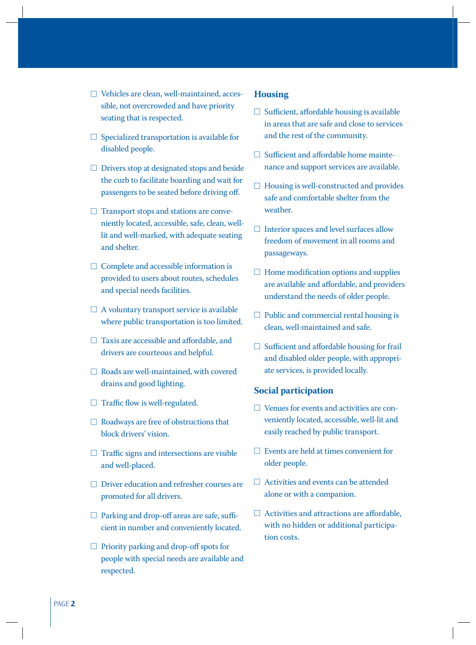- $\Box$  Specialized transportation is available for disabled people.
- ☐ Drivers stop at designated stops and beside the curb to facilitate boarding and wait for passengers to be seated before driving off.
- $\Box$  Transport stops and stations are conveniently located, accessible, safe, clean, welllit and well-marked, with adequate seating and shelter.
- $\Box$  Complete and accessible information is provided to users about routes, schedules and special needs facilities.
- $\Box$  A voluntary transport service is available where public transportation is too limited.
- $\Box$  Taxis are accessible and affordable, and drivers are courteous and helpful.
- ☐ Roads are well-maintained, with covered drains and good lighting.
- $\Box$  Traffic flow is well-regulated.
- □ Roadways are free of obstructions that block drivers' vision.
- $\Box$  Traffic signs and intersections are visible and well-placed.
- ☐ Driver education and refresher courses are promoted for all drivers.
- $\Box$  Parking and drop-off areas are safe, sufficient in number and conveniently located.
- $\Box$  Priority parking and drop-off spots for people with special needs are available and respected.

# **Housing**

- $\Box$  Sufficient, affordable housing is available in areas that are safe and close to services and the rest of the community.
- $\Box$  Sufficient and affordable home maintenance and support services are available.
- $\Box$  Housing is well-constructed and provides safe and comfortable shelter from the weather.
- $\Box$  Interior spaces and level surfaces allow freedom of movement in all rooms and passageways.
- $\Box$  Home modification options and supplies are available and affordable, and providers understand the needs of older people.
- $\Box$  Public and commercial rental housing is clean, well-maintained and safe.
- $\Box$  Sufficient and affordable housing for frail and disabled older people, with appropriate services, is provided locally.

## **Social participation**

- $\Box$  Venues for events and activities are conveniently located, accessible, well-lit and easily reached by public transport.
- $\Box$  Events are held at times convenient for older people.
- ☐ Activities and events can be attended alone or with a companion.
- $\Box$  Activities and attractions are affordable, with no hidden or additional participation costs.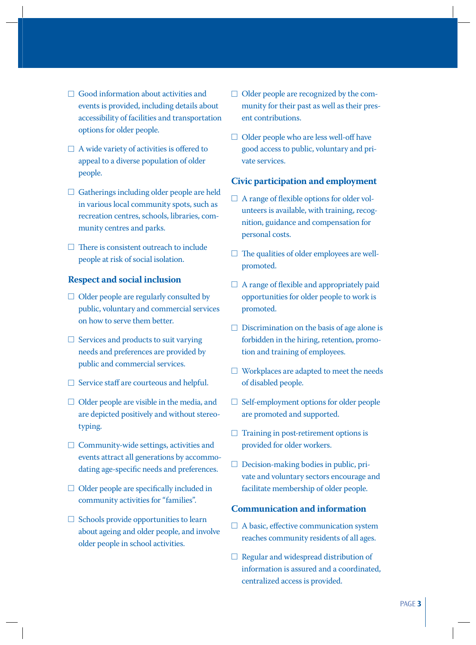- □ Good information about activities and events is provided, including details about accessibility of facilities and transportation options for older people.
- $\Box$  A wide variety of activities is offered to appeal to a diverse population of older people.
- □ Gatherings including older people are held in various local community spots, such as recreation centres, schools, libraries, community centres and parks.
- $\Box$  There is consistent outreach to include people at risk of social isolation.

### **Respect and social inclusion**

- $\Box$  Older people are regularly consulted by public, voluntary and commercial services on how to serve them better.
- $\Box$  Services and products to suit varying needs and preferences are provided by public and commercial services.
- $\Box$  Service staff are courteous and helpful.
- $\Box$  Older people are visible in the media, and are depicted positively and without stereotyping.
- ☐ Community-wide settings, activities and events attract all generations by accommodating age-specific needs and preferences.
- $\Box$  Older people are specifically included in community activities for "families".
- □ Schools provide opportunities to learn about ageing and older people, and involve older people in school activities.
- $\Box$  Older people are recognized by the community for their past as well as their present contributions.
- □ Older people who are less well-off have good access to public, voluntary and private services.

### **Civic participation and employment**

- $\Box$  A range of flexible options for older volunteers is available, with training, recognition, guidance and compensation for personal costs.
- $\Box$  The qualities of older employees are wellpromoted.
- $\Box$  A range of flexible and appropriately paid opportunities for older people to work is promoted.
- $\Box$  Discrimination on the basis of age alone is forbidden in the hiring, retention, promotion and training of employees.
- ☐ Workplaces are adapted to meet the needs of disabled people.
- ☐ Self-employment options for older people are promoted and supported.
- $\Box$  Training in post-retirement options is provided for older workers.
- $\Box$  Decision-making bodies in public, private and voluntary sectors encourage and facilitate membership of older people.

# **Communication and information**

- $\Box$  A basic, effective communication system reaches community residents of all ages.
- $\Box$  Regular and widespread distribution of information is assured and a coordinated, centralized access is provided.